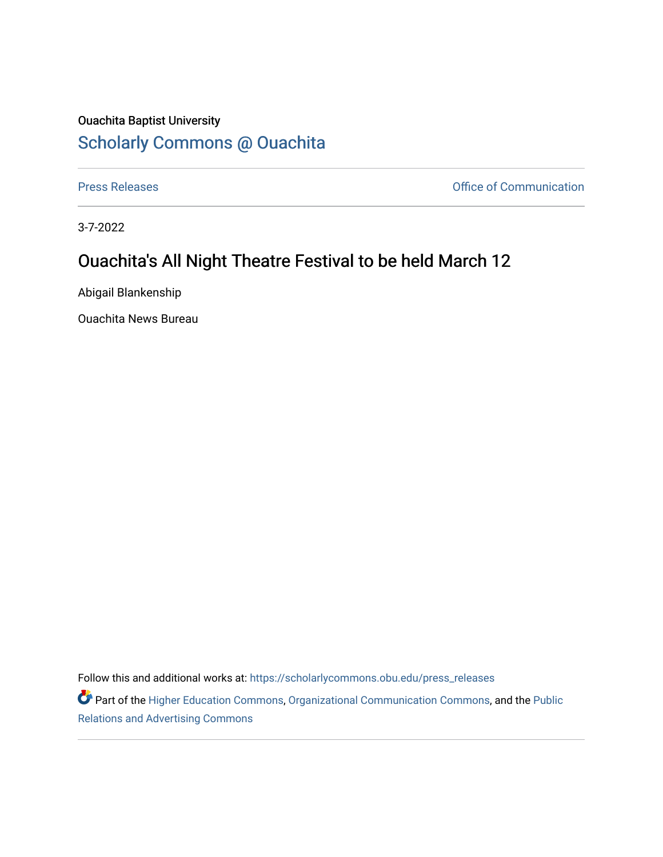## Ouachita Baptist University [Scholarly Commons @ Ouachita](https://scholarlycommons.obu.edu/)

[Press Releases](https://scholarlycommons.obu.edu/press_releases) **Press Releases Communication** 

3-7-2022

## Ouachita's All Night Theatre Festival to be held March 12

Abigail Blankenship

Ouachita News Bureau

Follow this and additional works at: [https://scholarlycommons.obu.edu/press\\_releases](https://scholarlycommons.obu.edu/press_releases?utm_source=scholarlycommons.obu.edu%2Fpress_releases%2F1065&utm_medium=PDF&utm_campaign=PDFCoverPages)

Part of the [Higher Education Commons,](http://network.bepress.com/hgg/discipline/1245?utm_source=scholarlycommons.obu.edu%2Fpress_releases%2F1065&utm_medium=PDF&utm_campaign=PDFCoverPages) [Organizational Communication Commons,](http://network.bepress.com/hgg/discipline/335?utm_source=scholarlycommons.obu.edu%2Fpress_releases%2F1065&utm_medium=PDF&utm_campaign=PDFCoverPages) and the [Public](http://network.bepress.com/hgg/discipline/336?utm_source=scholarlycommons.obu.edu%2Fpress_releases%2F1065&utm_medium=PDF&utm_campaign=PDFCoverPages) [Relations and Advertising Commons](http://network.bepress.com/hgg/discipline/336?utm_source=scholarlycommons.obu.edu%2Fpress_releases%2F1065&utm_medium=PDF&utm_campaign=PDFCoverPages)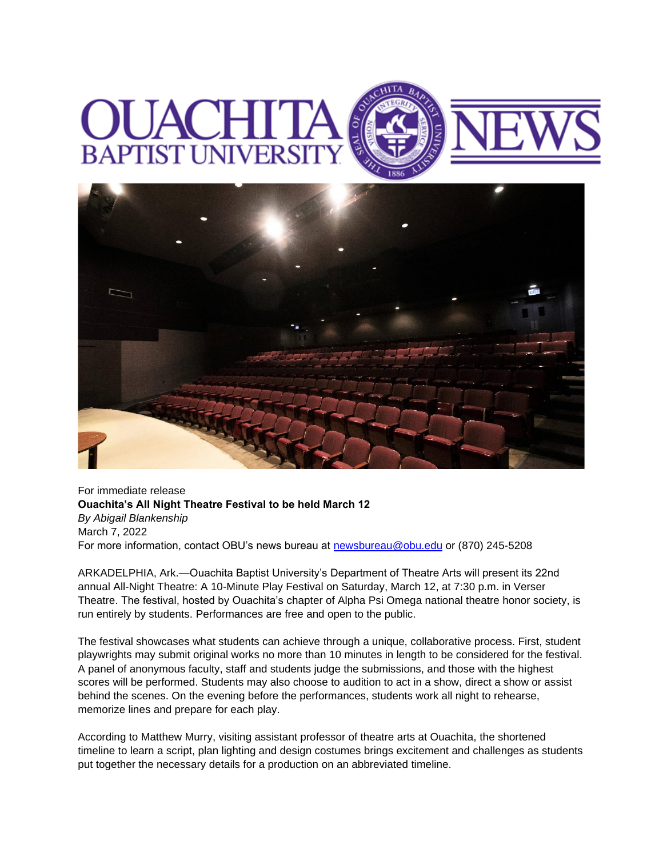## **BAPTIST UNIVERS**



For immediate release **Ouachita's All Night Theatre Festival to be held March 12** *By Abigail Blankenship* March 7, 2022 For more information, contact OBU's news bureau at [newsbureau@obu.edu](mailto:newsbureau@obu.edu) or (870) 245-5208

ARKADELPHIA, Ark.—Ouachita Baptist University's Department of Theatre Arts will present its 22nd annual All-Night Theatre: A 10-Minute Play Festival on Saturday, March 12, at 7:30 p.m. in Verser Theatre. The festival, hosted by Ouachita's chapter of Alpha Psi Omega national theatre honor society, is run entirely by students. Performances are free and open to the public.

The festival showcases what students can achieve through a unique, collaborative process. First, student playwrights may submit original works no more than 10 minutes in length to be considered for the festival. A panel of anonymous faculty, staff and students judge the submissions, and those with the highest scores will be performed. Students may also choose to audition to act in a show, direct a show or assist behind the scenes. On the evening before the performances, students work all night to rehearse, memorize lines and prepare for each play.

According to Matthew Murry, visiting assistant professor of theatre arts at Ouachita, the shortened timeline to learn a script, plan lighting and design costumes brings excitement and challenges as students put together the necessary details for a production on an abbreviated timeline.